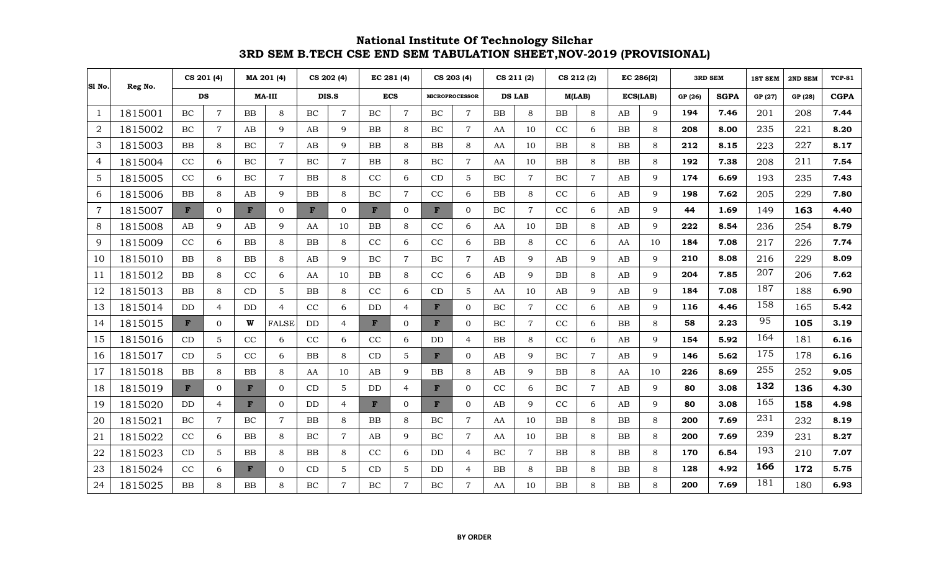| SI No.         | Reg No. | CS 201 (4)   |                |              | MA 201 (4)     |           | CS 202 (4)     | EC 281 (4) |                | CS 203 (4)   |                       |           | CS 211 (2)     | CS 212 (2) |                | EC 286(2)  |              |         | <b>3RD SEM</b> | 1ST SEM | 2ND SEM | <b>TCP-81</b> |
|----------------|---------|--------------|----------------|--------------|----------------|-----------|----------------|------------|----------------|--------------|-----------------------|-----------|----------------|------------|----------------|------------|--------------|---------|----------------|---------|---------|---------------|
|                |         | DS           |                |              | <b>MA-III</b>  |           | DIS.S          | <b>ECS</b> |                |              | <b>MICROPROCESSOR</b> |           | <b>DS LAB</b>  |            | M(LAB)         | ECS(LAB)   |              | GP (26) | <b>SGPA</b>    | GP (27) | GP (28) | <b>CGPA</b>   |
| $\mathbf{1}$   | 1815001 | BC           | $\overline{7}$ | <b>BB</b>    | 8              | BC        | $\overline{7}$ | BC         | $\overline{7}$ | BC           | $\overline{7}$        | <b>BB</b> | 8              | <b>BB</b>  | 8              | AB         | 9            | 194     | 7.46           | 201     | 208     | 7.44          |
| $\sqrt{2}$     | 1815002 | BC           | $\overline{7}$ | AB           | 9              | AB        | 9              | <b>BB</b>  | 8              | BC           | $\overline{7}$        | AA        | 10             | CC         | 6              | <b>BB</b>  | 8            | 208     | 8.00           | 235     | 221     | 8.20          |
| 3              | 1815003 | BB           | 8              | BC           | $\overline{7}$ | AB        | $\mathbf{Q}$   | <b>BB</b>  | 8              | <b>BB</b>    | 8                     | AA        | 10             | <b>BB</b>  | 8              | <b>BB</b>  | 8            | 212     | 8.15           | 223     | 227     | 8.17          |
| 4              | 1815004 | CC           | 6              | BC           | $\overline{7}$ | BC        | $\overline{7}$ | <b>BB</b>  | 8              | BC           | $\overline{7}$        | AA        | 10             | ${\bf BB}$ | 8              | BB         | 8            | 192     | 7.38           | 208     | 211     | 7.54          |
| 5              | 1815005 | CC           | 6              | BC           | $\overline{7}$ | <b>BB</b> | 8              | CC         | 6              | CD           | 5                     | BC        | $\overline{7}$ | $\rm BC$   | $\overline{7}$ | AB         | 9            | 174     | 6.69           | 193     | 235     | 7.43          |
| 6              | 1815006 | BB           | 8              | AB           | 9              | BB        | 8              | BC         | $\overline{7}$ | CC           | 6                     | BB        | 8              | CC         | 6              | AB         | 9            | 198     | 7.62           | 205     | 229     | 7.80          |
| $\overline{7}$ | 1815007 | $\mathbf{F}$ | $\mathbf{0}$   | F            | $\Omega$       | F         | $\Omega$       | F          | $\mathbf{0}$   | F            | $\mathbf{0}$          | BC        | $\overline{7}$ | CC         | 6              | AB         | 9            | 44      | 1.69           | 149     | 163     | 4.40          |
| 8              | 1815008 | AB           | 9              | AB           | $\mathbf Q$    | AA        | 10             | <b>BB</b>  | 8              | CC           | 6                     | AA        | 10             | <b>BB</b>  | 8              | AB         | $\mathbf{Q}$ | 222     | 8.54           | 236     | 254     | 8.79          |
| 9              | 1815009 | CC           | 6              | BB           | 8              | BB        | 8              | CC         | 6              | CC           | 6                     | BB        | 8              | CC         | 6              | AA         | 10           | 184     | 7.08           | 217     | 226     | 7.74          |
| 10             | 1815010 | BB           | 8              | BB           | 8              | AB        | 9              | BC         | $\overline{7}$ | BC           | $\overline{7}$        | AB        | 9              | AB         | 9              | AB         | 9            | 210     | 8.08           | 216     | 229     | 8.09          |
| 11             | 1815012 | BB           | 8              | CC           | 6              | AA        | 10             | <b>BB</b>  | 8              | CC           | 6                     | AB        | 9              | <b>BB</b>  | 8              | AB         | 9            | 204     | 7.85           | 207     | 206     | 7.62          |
| 12             | 1815013 | <b>BB</b>    | 8              | CD           | 5              | <b>BB</b> | 8              | CC         | 6              | CD           | 5                     | AA        | 10             | AB         | 9              | AB         | 9            | 184     | 7.08           | 187     | 188     | 6.90          |
| 13             | 1815014 | <b>DD</b>    | $\overline{4}$ | DD           | $\overline{4}$ | CC        | 6              | DD         | 4              | F            | $\Omega$              | BC        | $\overline{7}$ | CC         | 6              | AB         | $\mathbf Q$  | 116     | 4.46           | 158     | 165     | 5.42          |
| 14             | 1815015 | $\mathbf{F}$ | $\overline{0}$ | W            | <b>FALSE</b>   | <b>DD</b> | $\overline{4}$ | F          | $\overline{0}$ | F            | $\Omega$              | BC        | $\overline{7}$ | CC         | 6              | BB         | 8            | 58      | 2.23           | 95      | 105     | 3.19          |
| 15             | 1815016 | CD           | $\mathbf 5$    | CC           | 6              | CC        | 6              | CC         | 6              | DD           | $\overline{4}$        | BB        | 8              | CC         | 6              | AB         | 9            | 154     | 5.92           | 164     | 181     | 6.16          |
| 16             | 1815017 | CD           | 5              | CC           | 6              | BB        | 8              | CD         | 5              | $\mathbf{F}$ | $\Omega$              | AB        | 9              | $\rm BC$   | $\overline{7}$ | AB         | 9            | 146     | 5.62           | 175     | 178     | 6.16          |
| 17             | 1815018 | <b>BB</b>    | 8              | BB           | 8              | AA        | 10             | AB         | 9              | <b>BB</b>    | 8                     | AB        | 9              | <b>BB</b>  | 8              | AA         | 10           | 226     | 8.69           | 255     | 252     | 9.05          |
| 18             | 1815019 | $\mathbf{F}$ | $\mathbf{0}$   | $\mathbf{F}$ | $\Omega$       | CD        | 5              | DD         | 4              | F            | $\Omega$              | CC        | 6              | <b>BC</b>  | $\overline{7}$ | AB         | 9            | 80      | 3.08           | 132     | 136     | 4.30          |
| 19             | 1815020 | DD.          | $\overline{4}$ | $\mathbf{F}$ | $\Omega$       | DD        | $\overline{4}$ | F          | $\Omega$       | F            | $\Omega$              | AB        | 9              | CC         | 6              | AB         | 9            | 80      | 3.08           | 165     | 158     | 4.98          |
| 20             | 1815021 | $\rm BC$     | $\overline{7}$ | BC           | $\overline{7}$ | <b>BB</b> | 8              | <b>BB</b>  | 8              | BC           | $\overline{7}$        | AA        | 10             | <b>BB</b>  | 8              | <b>BB</b>  | 8            | 200     | 7.69           | 231     | 232     | 8.19          |
| 21             | 1815022 | $\rm CC$     | 6              | <b>BB</b>    | 8              | BC        | $\overline{7}$ | AB         | 9              | BC           | $\overline{7}$        | AA        | 10             | BB         | 8              | BB         | 8            | 200     | 7.69           | 239     | 231     | 8.27          |
| 22             | 1815023 | CD           | $\mathbf 5$    | <b>BB</b>    | 8              | <b>BB</b> | 8              | CC         | 6              | DD           | $\overline{4}$        | BC        | $\overline{7}$ | <b>BB</b>  | 8              | <b>BB</b>  | 8            | 170     | 6.54           | 193     | 210     | 7.07          |
| 23             | 1815024 | CC           | 6              | $\mathbf{F}$ | $\Omega$       | CD        | 5              | CD         | 5              | DD           | 4                     | BB        | 8              | ${\bf BB}$ | 8              | ${\bf BB}$ | 8            | 128     | 4.92           | 166     | 172     | 5.75          |
| 24             | 1815025 | BB           | 8              | BB           | 8              | BC        | $\overline{7}$ | BC         | $\overline{7}$ | BC           | $\overline{7}$        | AA        | 10             | BB         | 8              | BB         | 8            | 200     | 7.69           | 181     | 180     | 6.93          |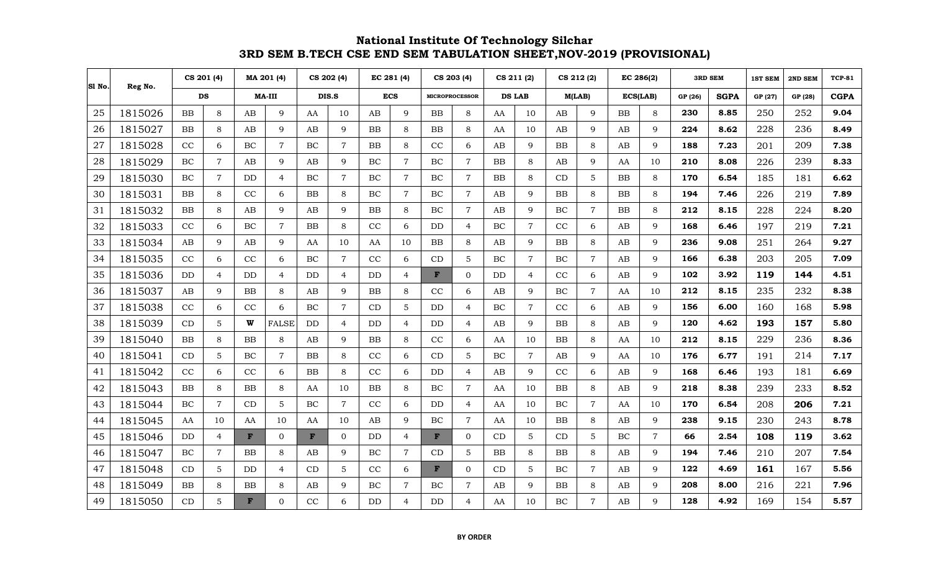|    | SI No.<br>Reg No. | CS 201 (4) |                |              | MA 201 (4)     |           | CS 202 (4)     | EC 281 (4) |                | CS 203 (4)   |                       |           | CS 211 (2)     | CS 212 (2) |                | EC 286(2)  |                |         | <b>3RD SEM</b> | 1ST SEM | 2ND SEM | <b>TCP-81</b> |
|----|-------------------|------------|----------------|--------------|----------------|-----------|----------------|------------|----------------|--------------|-----------------------|-----------|----------------|------------|----------------|------------|----------------|---------|----------------|---------|---------|---------------|
|    |                   | DS         |                |              | <b>MA-III</b>  |           | DIS.S          | <b>ECS</b> |                |              | <b>MICROPROCESSOR</b> |           | <b>DS LAB</b>  | M(LAB)     |                | ECS(LAB)   |                | GP (26) | <b>SGPA</b>    | GP (27) | GP (28) | <b>CGPA</b>   |
| 25 | 1815026           | BB         | $\,8\,$        | AB           | $\mathbf{Q}$   | AA        | 10             | AB         | $\mathbf{Q}$   | <b>BB</b>    | 8                     | AA        | 10             | AB         | $\mathbf Q$    | ${\bf BB}$ | 8              | 230     | 8.85           | 250     | 252     | 9.04          |
| 26 | 1815027           | <b>BB</b>  | 8              | AB           | 9              | AB        | 9              | <b>BB</b>  | 8              | <b>BB</b>    | 8                     | AA        | 10             | AB         | $\mathbf Q$    | AB         | 9              | 224     | 8.62           | 228     | 236     | 8.49          |
| 27 | 1815028           | CC         | 6              | BC           | $\overline{7}$ | BC        | $\overline{7}$ | <b>BB</b>  | 8              | CC           | 6                     | AB        | $\mathbf Q$    | <b>BB</b>  | 8              | AB         | $\mathbf Q$    | 188     | 7.23           | 201     | 209     | 7.38          |
| 28 | 1815029           | $\rm BC$   | $\overline{7}$ | AB           | $\mathbf{Q}$   | AB        | 9              | BC         | $\overline{7}$ | BC           | $\overline{7}$        | <b>BB</b> | 8              | AB         | 9              | AA         | 10             | 210     | 8.08           | 226     | 239     | 8.33          |
| 29 | 1815030           | $\rm BC$   | $\overline{7}$ | DD           | $\overline{4}$ | BC        | $\overline{7}$ | BC         | $\overline{7}$ | BC           | $\overline{7}$        | <b>BB</b> | 8              | CD         | 5              | <b>BB</b>  | 8              | 170     | 6.54           | 185     | 181     | 6.62          |
| 30 | 1815031           | <b>BB</b>  | 8              | CC           | 6              | <b>BB</b> | 8              | BC         | $\overline{7}$ | BC           | $\overline{7}$        | AB        | 9              | <b>BB</b>  | 8              | <b>BB</b>  | 8              | 194     | 7.46           | 226     | 219     | 7.89          |
| 31 | 1815032           | <b>BB</b>  | 8              | AB           | 9              | AB        | 9              | BB         | 8              | BC           | $\overline{7}$        | AB        | 9              | BC         | $\overline{7}$ | <b>BB</b>  | 8              | 212     | 8.15           | 228     | 224     | 8.20          |
| 32 | 1815033           | CC         | 6              | BC           | $\overline{7}$ | <b>BB</b> | 8              | CC         | 6              | DD           | $\overline{4}$        | BC        | $\overline{7}$ | CC         | 6              | AB         | 9              | 168     | 6.46           | 197     | 219     | 7.21          |
| 33 | 1815034           | AB         | 9              | AB           | $\mathbf{Q}$   | AA        | 10             | AA         | 10             | <b>BB</b>    | 8                     | AB        | 9              | <b>BB</b>  | 8              | AB         | 9              | 236     | 9.08           | 251     | 264     | 9.27          |
| 34 | 1815035           | CC         | 6              | CC           | 6              | BC        | $\overline{7}$ | CC         | 6              | CD           | 5                     | BC        | $\overline{7}$ | BC         | $\overline{7}$ | AB         | 9              | 166     | 6.38           | 203     | 205     | 7.09          |
| 35 | 1815036           | DD         | $\overline{4}$ | DD           | $\overline{4}$ | DD        | $\overline{4}$ | DD         | 4              | F            | $\overline{0}$        | DD        | $\overline{4}$ | CC         | 6              | AB         | 9              | 102     | 3.92           | 119     | 144     | 4.51          |
| 36 | 1815037           | AB         | 9              | <b>BB</b>    | 8              | AB        | 9              | <b>BB</b>  | 8              | CC           | 6                     | AB        | 9              | BC         | $\overline{7}$ | AA         | 10             | 212     | 8.15           | 235     | 232     | 8.38          |
| 37 | 1815038           | CC         | 6              | CC           | 6              | BC        | $\overline{7}$ | CD         | 5              | DD           | $\overline{4}$        | BC        | $\overline{7}$ | CC         | 6              | AB         | 9              | 156     | 6.00           | 160     | 168     | 5.98          |
| 38 | 1815039           | CD         | 5              | W            | <b>FALSE</b>   | DD        | $\overline{4}$ | DD         | 4              | DD           | 4                     | AB        | 9              | BB         | 8              | AB         | 9              | 120     | 4.62           | 193     | 157     | 5.80          |
| 39 | 1815040           | <b>BB</b>  | 8              | BB           | 8              | AB        | 9              | BB         | 8              | CC           | 6                     | AA        | 10             | <b>BB</b>  | 8              | AA         | 10             | 212     | 8.15           | 229     | 236     | 8.36          |
| 40 | 1815041           | CD         | 5              | BC           | $\overline{7}$ | BB        | 8              | CC         | 6              | CD           | 5                     | BC        | $\overline{7}$ | AB         | 9              | AA         | 10             | 176     | 6.77           | 191     | 214     | 7.17          |
| 41 | 1815042           | CC         | 6              | CC           | 6              | <b>BB</b> | 8              | CC         | 6              | DD           | 4                     | AB        | 9              | CC         | 6              | AB         | 9              | 168     | 6.46           | 193     | 181     | 6.69          |
| 42 | 1815043           | $\rm BB$   | 8              | BB           | 8              | AA        | 10             | BB         | 8              | BC           | $\overline{7}$        | AA        | 10             | ${\bf BB}$ | 8              | AB         | 9              | 218     | 8.38           | 239     | 233     | 8.52          |
| 43 | 1815044           | $\rm BC$   | $\overline{7}$ | CD           | 5              | BC        | $\overline{7}$ | CC         | 6              | DD           | 4                     | AA        | 10             | $\rm BC$   | $\overline{7}$ | AA         | 10             | 170     | 6.54           | 208     | 206     | 7.21          |
| 44 | 1815045           | AA         | 10             | AA           | 10             | AA        | 10             | AB         | 9              | BC           | $\overline{7}$        | AA        | 10             | ${\bf BB}$ | 8              | AB         | $\mathbf{Q}$   | 238     | 9.15           | 230     | 243     | 8.78          |
| 45 | 1815046           | DD         | $\overline{4}$ | $\mathbf{F}$ | $\overline{0}$ | F         | $\overline{0}$ | DD         | 4              | F            | $\overline{0}$        | CD        | 5              | CD         | 5              | $\rm BC$   | $\overline{7}$ | 66      | 2.54           | 108     | 119     | 3.62          |
| 46 | 1815047           | $\rm BC$   | $\overline{7}$ | BB           | 8              | AB        | 9              | BC         | $\overline{7}$ | CD           | 5                     | BB        | 8              | ${\bf BB}$ | 8              | AB         | $\mathbf Q$    | 194     | 7.46           | 210     | 207     | 7.54          |
| 47 | 1815048           | CD         | $\mathbf 5$    | DD           | $\overline{4}$ | CD        | 5              | CC         | 6              | $\mathbf{F}$ | $\Omega$              | CD        | $\overline{5}$ | $\rm BC$   | $\overline{7}$ | AB         | $\mathbf Q$    | 122     | 4.69           | 161     | 167     | 5.56          |
| 48 | 1815049           | ${\rm BB}$ | 8              | ${\rm BB}$   | 8              | AB        | 9              | $\rm BC$   | $\overline{7}$ | BC           | $\overline{7}$        | AB        | 9              | ${\bf BB}$ | 8              | AB         | 9              | 208     | 8.00           | 216     | 221     | 7.96          |
| 49 | 1815050           | CD         | 5              | F            | $\Omega$       | CC        | 6              | DD         | 4              | DD           | $\overline{4}$        | AA        | 10             | BC         | $\overline{7}$ | AB         | 9              | 128     | 4.92           | 169     | 154     | 5.57          |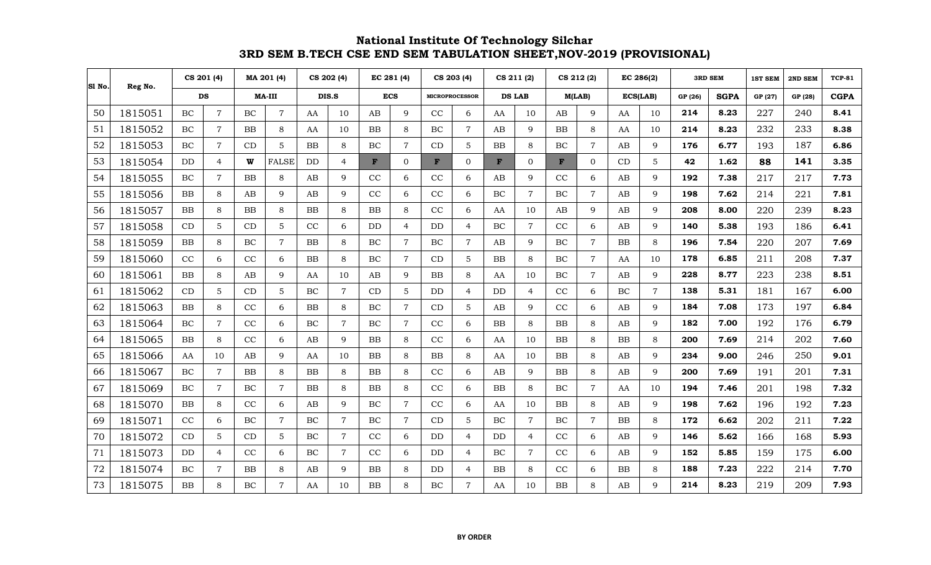|    | SI No.<br>Reg No. | CS 201 (4) |                |           | MA 201 (4)     |           | CS 202 (4)     | EC 281 (4)   |                | CS 203 (4)   |                       |              | CS 211 (2)     |              | CS 212 (2)     |            | EC 286(2)      |         | <b>3RD SEM</b> | <b>1ST SEM</b> | 2ND SEM | <b>TCP-81</b> |
|----|-------------------|------------|----------------|-----------|----------------|-----------|----------------|--------------|----------------|--------------|-----------------------|--------------|----------------|--------------|----------------|------------|----------------|---------|----------------|----------------|---------|---------------|
|    |                   | DS         |                |           | <b>MA-III</b>  |           | DIS.S          | <b>ECS</b>   |                |              | <b>MICROPROCESSOR</b> |              | <b>DS LAB</b>  |              | M(LAB)         |            | ECS(LAB)       | GP (26) | <b>SGPA</b>    | GP (27)        | GP (28) | <b>CGPA</b>   |
| 50 | 1815051           | BC         | $\overline{7}$ | BC        | $\overline{7}$ | AA        | 10             | AB           | 9              | CC           | 6                     | AA           | 10             | AB           | 9              | AA         | 10             | 214     | 8.23           | 227            | 240     | 8.41          |
| 51 | 1815052           | BC         | $\overline{7}$ | <b>BB</b> | 8              | AA        | 10             | <b>BB</b>    | 8              | BC           | $\overline{7}$        | AB           | 9              | <b>BB</b>    | 8              | AA         | 10             | 214     | 8.23           | 232            | 233     | 8.38          |
| 52 | 1815053           | BC         | $\overline{7}$ | CD        | 5              | <b>BB</b> | 8              | BC           | $\overline{7}$ | CD           | $\overline{5}$        | <b>BB</b>    | 8              | BC           | $\overline{7}$ | AB         | $\mathbf{Q}$   | 176     | 6.77           | 193            | 187     | 6.86          |
| 53 | 1815054           | DD         | $\overline{4}$ | W         | <b>FALSE</b>   | DD        | $\overline{4}$ | $\mathbf{F}$ | $\overline{0}$ | $\mathbf{F}$ | $\mathbf{0}$          | $\mathbf{F}$ | $\mathbf{0}$   | $\mathbf{F}$ | $\overline{0}$ | CD         | $\overline{5}$ | 42      | 1.62           | 88             | 141     | 3.35          |
| 54 | 1815055           | BC         | $\overline{7}$ | <b>BB</b> | 8              | AB        | 9              | CC           | 6              | CC           | 6                     | AB           | 9              | CC           | 6              | AB         | 9              | 192     | 7.38           | 217            | 217     | 7.73          |
| 55 | 1815056           | <b>BB</b>  | 8              | AB        | 9              | AB        | 9              | CC           | 6              | CC           | 6                     | BC           | $\overline{7}$ | BC           | $\overline{7}$ | AB         | $\mathbf Q$    | 198     | 7.62           | 214            | 221     | 7.81          |
| 56 | 1815057           | <b>BB</b>  | 8              | <b>BB</b> | 8              | <b>BB</b> | 8              | <b>BB</b>    | 8              | CC           | 6                     | AA           | 10             | AB           | 9              | AB         | 9              | 208     | 8.00           | 220            | 239     | 8.23          |
| 57 | 1815058           | CD         | 5              | CD        | 5              | CC        | 6              | DD           | $\overline{4}$ | <b>DD</b>    | $\overline{4}$        | BC           | $\overline{7}$ | CC           | 6              | AB         | $\mathbf Q$    | 140     | 5.38           | 193            | 186     | 6.41          |
| 58 | 1815059           | <b>BB</b>  | 8              | <b>BC</b> | $\overline{7}$ | <b>BB</b> | 8              | BC           | $\overline{7}$ | BC           | $\overline{7}$        | AB           | 9              | BC           | $\overline{7}$ | <b>BB</b>  | 8              | 196     | 7.54           | 220            | 207     | 7.69          |
| 59 | 1815060           | CC         | 6              | CC        | 6              | BB        | 8              | BC           | $\overline{7}$ | CD           | 5                     | BB           | 8              | BC           | $\overline{7}$ | AA         | 10             | 178     | 6.85           | 211            | 208     | 7.37          |
| 60 | 1815061           | BB         | 8              | AB        | 9              | AA        | 10             | AB           | 9              | BB           | 8                     | AA           | 10             | BC           | $\overline{7}$ | AB         | 9              | 228     | 8.77           | 223            | 238     | 8.51          |
| 61 | 1815062           | CD         | 5              | CD        | 5              | BC        | $\overline{7}$ | CD           | 5              | DD           | 4                     | DD           | 4              | CC           | 6              | <b>BC</b>  | $\overline{7}$ | 138     | 5.31           | 181            | 167     | 6.00          |
| 62 | 1815063           | <b>BB</b>  | 8              | CC        | 6              | <b>BB</b> | 8              | BC           | $\overline{7}$ | CD           | 5                     | AB           | $\mathbf Q$    | CC           | 6              | AB         | $\mathbf Q$    | 184     | 7.08           | 173            | 197     | 6.84          |
| 63 | 1815064           | BC         | $\overline{7}$ | CC        | 6              | BC        | $\overline{7}$ | BC           | $\overline{7}$ | CC           | 6                     | <b>BB</b>    | 8              | <b>BB</b>    | 8              | AB         | 9              | 182     | 7.00           | 192            | 176     | 6.79          |
| 64 | 1815065           | BB         | 8              | CC        | 6              | AB        | $\mathbf{Q}$   | <b>BB</b>    | 8              | CC           | 6                     | AA           | 10             | BB           | 8              | <b>BB</b>  | 8              | 200     | 7.69           | 214            | 202     | 7.60          |
| 65 | 1815066           | AA         | 10             | AB        | 9              | AA        | 10             | <b>BB</b>    | 8              | BB           | 8                     | AA           | 10             | BB           | 8              | AB         | 9              | 234     | 9.00           | 246            | 250     | 9.01          |
| 66 | 1815067           | BC         | $\overline{7}$ | <b>BB</b> | 8              | <b>BB</b> | 8              | <b>BB</b>    | 8              | CC           | 6                     | AB           | 9              | <b>BB</b>    | 8              | AB         | 9              | 200     | 7.69           | 191            | 201     | 7.31          |
| 67 | 1815069           | BC         | $\overline{7}$ | BC        | $\overline{7}$ | <b>BB</b> | 8              | <b>BB</b>    | 8              | CC           | 6                     | <b>BB</b>    | 8              | BC           | $\overline{7}$ | AA         | 10             | 194     | 7.46           | 201            | 198     | 7.32          |
| 68 | 1815070           | <b>BB</b>  | 8              | CC        | 6              | AB        | 9              | BC           | $\overline{7}$ | CC           | 6                     | AA           | 10             | <b>BB</b>    | 8              | AB         | 9              | 198     | 7.62           | 196            | 192     | 7.23          |
| 69 | 1815071           | CC         | 6              | BC        | $\overline{7}$ | BC        | $\overline{7}$ | BC           | $\overline{7}$ | CD           | 5                     | BC           | $\overline{7}$ | BC           | $\overline{7}$ | <b>BB</b>  | 8              | 172     | 6.62           | 202            | 211     | 7.22          |
| 70 | 1815072           | CD         | 5              | CD        | $\overline{5}$ | BC        | $\overline{7}$ | CC           | 6              | DD           | $\overline{4}$        | DD           | $\overline{4}$ | CC           | 6              | AB         | 9              | 146     | 5.62           | 166            | 168     | 5.93          |
| 71 | 1815073           | DD         | $\overline{4}$ | CC        | 6              | BC        | $\overline{7}$ | CC           | 6              | DD           | $\overline{4}$        | BC           | $\overline{7}$ | CC           | 6              | AB         | 9              | 152     | 5.85           | 159            | 175     | 6.00          |
| 72 | 1815074           | BC         | $\overline{7}$ | BB        | 8              | AB        | $\mathbf Q$    | BB           | 8              | DD           | 4                     | BB           | 8              | CC           | 6              | ${\bf BB}$ | 8              | 188     | 7.23           | 222            | 214     | 7.70          |
| 73 | 1815075           | <b>BB</b>  | 8              | <b>BC</b> | 7              | AA        | 10             | <b>BB</b>    | 8              | BC           | $\overline{7}$        | AA           | 10             | ${\bf BB}$   | 8              | AB         | Q.             | 214     | 8.23           | 219            | 209     | 7.93          |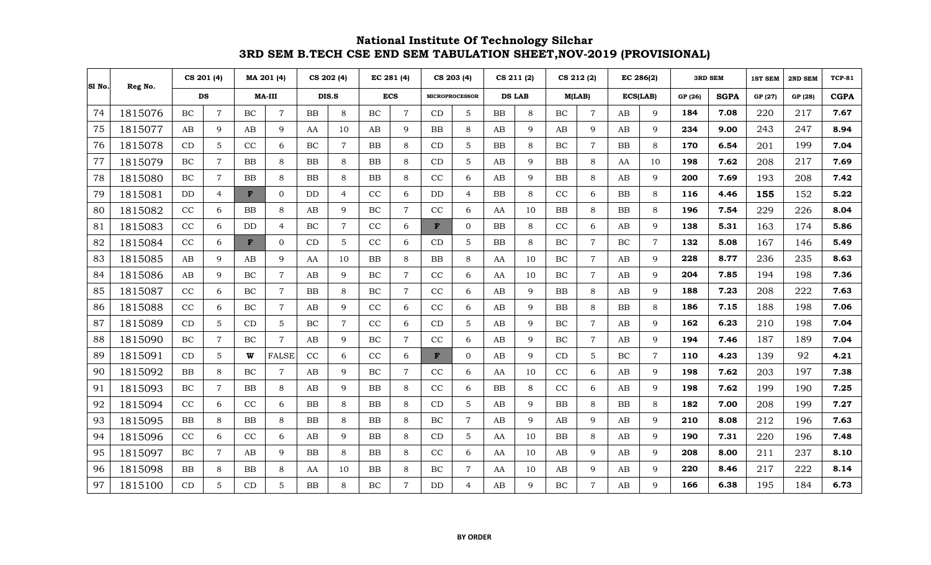|    | S1 No.<br>Reg No. | CS 201 (4) |                |           | MA 201 (4)     |           | CS 202 (4)     | EC 281 (4) |                |              | CS 203 (4)            |           | CS 211 (2)    |           | CS 212 (2)     |           | EC 286(2)      |         | <b>3RD SEM</b> | <b>1ST SEM</b> | 2ND SEM | <b>TCP-81</b> |
|----|-------------------|------------|----------------|-----------|----------------|-----------|----------------|------------|----------------|--------------|-----------------------|-----------|---------------|-----------|----------------|-----------|----------------|---------|----------------|----------------|---------|---------------|
|    |                   | DS         |                |           | <b>MA-III</b>  |           | DIS.S          | <b>ECS</b> |                |              | <b>MICROPROCESSOR</b> |           | <b>DS LAB</b> |           | M(LAB)         | ECS(LAB)  |                | GP (26) | <b>SGPA</b>    | GP (27)        | GP (28) | <b>CGPA</b>   |
| 74 | 1815076           | BC         | $\overline{7}$ | BC        | $\overline{7}$ | <b>BB</b> | 8              | BC         | $\overline{7}$ | CD           | 5                     | <b>BB</b> | 8             | BC        | $\overline{7}$ | AB        | 9              | 184     | 7.08           | 220            | 217     | 7.67          |
| 75 | 1815077           | AB         | 9              | AB        | 9              | AA        | 10             | AB         | 9              | <b>BB</b>    | 8                     | AB        | 9             | AB        | 9              | AB        | 9              | 234     | 9.00           | 243            | 247     | 8.94          |
| 76 | 1815078           | CD         | $5\phantom{.}$ | CC        | 6              | BC        | $\overline{7}$ | <b>BB</b>  | 8              | CD           | 5                     | <b>BB</b> | 8             | BC        | $\overline{7}$ | <b>BB</b> | 8              | 170     | 6.54           | 201            | 199     | 7.04          |
| 77 | 1815079           | BC         | $\overline{7}$ | <b>BB</b> | 8              | <b>BB</b> | 8              | <b>BB</b>  | 8              | CD           | 5                     | AB        | $\mathbf Q$   | <b>BB</b> | 8              | AA        | 10             | 198     | 7.62           | 208            | 217     | 7.69          |
| 78 | 1815080           | BC         | $\overline{7}$ | <b>BB</b> | 8              | <b>BB</b> | 8              | <b>BB</b>  | 8              | CC           | 6                     | AB        | 9             | BB        | 8              | AB        | 9              | 200     | 7.69           | 193            | 208     | 7.42          |
| 79 | 1815081           | DD         | 4              | F         | $\Omega$       | DD        | $\overline{4}$ | CC         | 6              | <b>DD</b>    | $\overline{4}$        | <b>BB</b> | 8             | CC        | 6              | <b>BB</b> | 8              | 116     | 4.46           | 155            | 152     | 5.22          |
| 80 | 1815082           | $\rm CC$   | 6              | <b>BB</b> | 8              | AB        | 9              | BC         | $\overline{7}$ | CC           | 6                     | AA        | 10            | <b>BB</b> | 8              | <b>BB</b> | 8              | 196     | 7.54           | 229            | 226     | 8.04          |
| 81 | 1815083           | CC         | 6              | <b>DD</b> | $\overline{4}$ | BC        | $\overline{7}$ | CC         | 6              | $\mathbf{F}$ | $\overline{0}$        | <b>BB</b> | 8             | CC        | 6              | AB        | 9              | 138     | 5.31           | 163            | 174     | 5.86          |
| 82 | 1815084           | CC         | 6              | F         | $\overline{0}$ | CD        | 5              | CC         | 6              | CD           | 5                     | BB        | 8             | BC        | $\overline{7}$ | $\rm BC$  | $\overline{7}$ | 132     | 5.08           | 167            | 146     | 5.49          |
| 83 | 1815085           | AB         | 9              | AB        | 9              | AA        | 10             | BB         | 8              | <b>BB</b>    | 8                     | AA        | 10            | BC        | $\overline{7}$ | AB        | 9              | 228     | 8.77           | 236            | 235     | 8.63          |
| 84 | 1815086           | AB         | 9              | BC        | $\overline{7}$ | AB        | 9              | BC         | $\overline{7}$ | CC           | 6                     | AA        | 10            | BC        | $\overline{7}$ | AB        | 9              | 204     | 7.85           | 194            | 198     | 7.36          |
| 85 | 1815087           | CC         | 6              | BC        | $\overline{7}$ | <b>BB</b> | 8              | BC         | $\overline{7}$ | CC           | 6                     | AB        | 9             | BB        | 8              | AB        | 9              | 188     | 7.23           | 208            | 222     | 7.63          |
| 86 | 1815088           | CC         | 6              | <b>BC</b> | $\overline{7}$ | AB        | 9              | CC         | 6              | CC           | 6                     | AB        | 9             | <b>BB</b> | 8              | <b>BB</b> | 8              | 186     | 7.15           | 188            | 198     | 7.06          |
| 87 | 1815089           | CD         | 5              | CD        | 5              | BC        | $\overline{7}$ | CC         | 6              | CD           | 5                     | AB        | 9             | BC        | $\overline{7}$ | AB        | 9              | 162     | 6.23           | 210            | 198     | 7.04          |
| 88 | 1815090           | BC         | $\overline{7}$ | BC        | $\overline{7}$ | AB        | 9              | BC         | $\overline{7}$ | CC           | 6                     | AB        | 9             | BC        | $\overline{7}$ | AB        | $\mathbf Q$    | 194     | 7.46           | 187            | 189     | 7.04          |
| 89 | 1815091           | CD         | 5              | W         | <b>FALSE</b>   | CC        | 6              | CC         | 6              | F            | $\Omega$              | AB        | 9             | CD        | $\overline{5}$ | BC        | $\overline{7}$ | 110     | 4.23           | 139            | 92      | 4.21          |
| 90 | 1815092           | BB         | 8              | BC        | $\overline{7}$ | AB        | $\mathbf Q$    | BC         | $\overline{7}$ | CC           | 6                     | AA        | 10            | CC        | 6              | AB        | $\mathbf{Q}$   | 198     | 7.62           | 203            | 197     | 7.38          |
| 91 | 1815093           | BC         | $\overline{7}$ | <b>BB</b> | 8              | AB        | 9              | BB         | 8              | CC           | 6                     | BB        | 8             | CC        | 6              | AB        | 9              | 198     | 7.62           | 199            | 190     | 7.25          |
| 92 | 1815094           | CC         | 6              | CC        | 6              | BB        | 8              | BB         | 8              | CD           | 5                     | AB        | 9             | <b>BB</b> | 8              | <b>BB</b> | 8              | 182     | 7.00           | 208            | 199     | 7.27          |
| 93 | 1815095           | BB         | 8              | <b>BB</b> | 8              | <b>BB</b> | 8              | <b>BB</b>  | 8              | BC           | $\overline{7}$        | AB        | $\mathbf Q$   | AB        | $\mathbf Q$    | AB        | 9              | 210     | 8.08           | 212            | 196     | 7.63          |
| 94 | 1815096           | CC         | 6              | CC        | 6              | AB        | 9              | BB         | 8              | CD           | 5                     | AA        | 10            | BB        | 8              | AB        | 9              | 190     | 7.31           | 220            | 196     | 7.48          |
| 95 | 1815097           | BC         | $\overline{7}$ | AB        | 9              | <b>BB</b> | 8              | BB         | 8              | CC           | 6                     | AA        | 10            | AB        | 9              | AB        | 9              | 208     | 8.00           | 211            | 237     | 8.10          |
| 96 | 1815098           | <b>BB</b>  | 8              | <b>BB</b> | 8              | AA        | 10             | <b>BB</b>  | 8              | BC           | $\overline{7}$        | AA        | 10            | AB        | 9              | AB        | 9              | 220     | 8.46           | 217            | 222     | 8.14          |
| 97 | 1815100           | CD         | 5              | CD        | 5              | <b>BB</b> | 8              | BC         | $\overline{7}$ | DD           | 4                     | AB        | $\mathbf Q$   | $\rm BC$  | $\overline{7}$ | AB        | $\mathbf Q$    | 166     | 6.38           | 195            | 184     | 6.73          |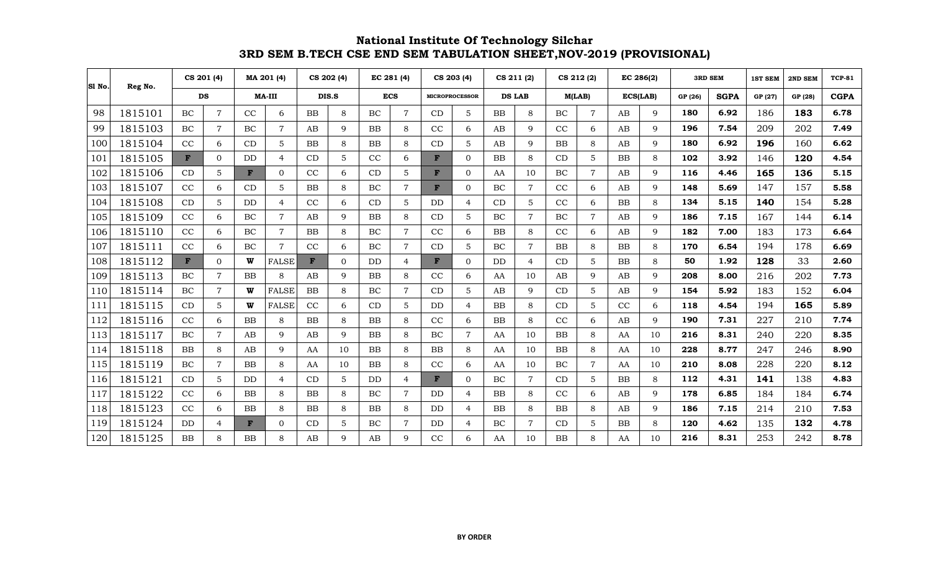| SI No. | Reg No. | CS 201 (4) |                |              | MA 201 (4)     | CS 202 (4) |          |           | EC 281 (4)     |           | CS 203 (4)            | CS 211 (2)    |                | CS 212 (2) |                | EC 286(2) |              |         | <b>3RD SEM</b> | <b>1ST SEM</b> | 2ND SEM | <b>TCP-81</b> |
|--------|---------|------------|----------------|--------------|----------------|------------|----------|-----------|----------------|-----------|-----------------------|---------------|----------------|------------|----------------|-----------|--------------|---------|----------------|----------------|---------|---------------|
|        |         | <b>DS</b>  |                |              | <b>MA-III</b>  |            | DIS.S    |           | <b>ECS</b>     |           | <b>MICROPROCESSOR</b> | <b>DS LAB</b> |                |            | M(LAB)         | ECS(LAB)  |              | GP (26) | <b>SGPA</b>    | GP (27)        | GP (28) | <b>CGPA</b>   |
| 98     | 1815101 | $\rm BC$   | $\overline{7}$ | CC           | 6              | <b>BB</b>  | 8        | $\rm BC$  | 7              | CD        | 5                     | BB            | 8              | BC         | $\overline{7}$ | AB        | 9            | 180     | 6.92           | 186            | 183     | 6.78          |
| 99     | 1815103 | BC         | $\overline{7}$ | BC           | $\overline{7}$ | AB         | 9        | <b>BB</b> | 8              | CC        | 6                     | AB            | 9              | CC         | 6              | AB        | $\mathbf{Q}$ | 196     | 7.54           | 209            | 202     | 7.49          |
| 100    | 1815104 | CC         | 6              | CD           | $\overline{5}$ | <b>BB</b>  | 8        | <b>BB</b> | 8              | CD        | 5                     | AB            | 9              | <b>BB</b>  | 8              | AB        | $\mathbf Q$  | 180     | 6.92           | 196            | 160     | 6.62          |
| 101    | 1815105 | F          | $\overline{0}$ | DD           | $\overline{4}$ | CD         | 5        | CC        | 6              | F         | $\Omega$              | <b>BB</b>     | 8              | CD         | 5              | <b>BB</b> | 8            | 102     | 3.92           | 146            | 120     | 4.54          |
| 102    | 1815106 | CD         | 5              | $\mathbf{F}$ | $\overline{0}$ | CC         | 6        | CD        | 5              | F         | $\Omega$              | AA            | 10             | $\rm BC$   | $\overline{7}$ | AB        | 9            | 116     | 4.46           | 165            | 136     | 5.15          |
| 103    | 1815107 | CC         | 6              | CD           | $\overline{5}$ | <b>BB</b>  | 8        | BC        | $\overline{7}$ | F         | $\Omega$              | BC            | $\overline{7}$ | CC         | 6              | AB        | $\mathbf Q$  | 148     | 5.69           | 147            | 157     | 5.58          |
| 104    | 1815108 | CD         | 5              | <b>DD</b>    | $\overline{4}$ | CC         | 6        | CD        | 5              | DD        | $\overline{4}$        | CD            | 5              | CC         | 6              | <b>BB</b> | 8            | 134     | 5.15           | 140            | 154     | 5.28          |
| 105    | 1815109 | CC         | 6              | BC           | $\overline{7}$ | AB         | 9        | <b>BB</b> | 8              | CD        | 5                     | BC            | $\overline{7}$ | BC         | $\overline{7}$ | AB        | $\mathbf Q$  | 186     | 7.15           | 167            | 144     | 6.14          |
| 106    | 1815110 | CC         | 6              | BC           | $\overline{7}$ | <b>BB</b>  | 8        | BC        | $\overline{7}$ | CC        | 6                     | <b>BB</b>     | 8              | CC         | 6              | AB        | 9            | 182     | 7.00           | 183            | 173     | 6.64          |
| 107    | 1815111 | CC         | 6              | BC           | $\overline{7}$ | CC         | 6        | BC        | $\overline{7}$ | CD        | 5                     | BC            | $\overline{7}$ | <b>BB</b>  | 8              | <b>BB</b> | 8            | 170     | 6.54           | 194            | 178     | 6.69          |
| 108    | 1815112 | F          | $\Omega$       | w            | <b>FALSE</b>   | F          | $\Omega$ | DD        | $\overline{4}$ | F         | $\Omega$              | DD            | 4              | CD         | 5              | <b>BB</b> | 8            | 50      | 1.92           | 128            | 33      | 2.60          |
| 109    | 1815113 | <b>BC</b>  | $\overline{7}$ | <b>BB</b>    | 8              | AB         | 9        | <b>BB</b> | 8              | CC        | 6                     | AA            | 10             | AB         | 9              | AB        | 9            | 208     | 8.00           | 216            | 202     | 7.73          |
| 110    | 1815114 | BC         | $\overline{7}$ | W            | <b>FALSE</b>   | <b>BB</b>  | 8        | BC        | $\overline{7}$ | CD        | 5                     | AB            | 9              | <b>CD</b>  | 5              | AB        | $\mathbf Q$  | 154     | 5.92           | 183            | 152     | 6.04          |
| 111    | 1815115 | CD         | 5              | w            | <b>FALSE</b>   | CC         | 6        | CD        | 5              | <b>DD</b> | $\overline{4}$        | <b>BB</b>     | 8              | CD         | 5              | CC        | 6            | 118     | 4.54           | 194            | 165     | 5.89          |
| 112    | 1815116 | CC         | 6              | <b>BB</b>    | 8              | <b>BB</b>  | 8        | <b>BB</b> | 8              | CC        | 6                     | <b>BB</b>     | 8              | CC         | 6              | AB        | 9            | 190     | 7.31           | 227            | 210     | 7.74          |
| 113    | 1815117 | BC         | $\overline{7}$ | AB           | 9              | AB         | 9        | BB        | 8              | BC        | $\overline{7}$        | AA            | 10             | <b>BB</b>  | 8              | AA        | 10           | 216     | 8.31           | 240            | 220     | 8.35          |
| 114    | 1815118 | <b>BB</b>  | 8              | AB           | 9              | AA         | 10       | <b>BB</b> | 8              | <b>BB</b> | 8                     | AA            | 10             | BB         | 8              | AA        | 10           | 228     | 8.77           | 247            | 246     | 8.90          |
| 115    | 1815119 | BC         | $\overline{7}$ | <b>BB</b>    | 8              | AA         | 10       | <b>BB</b> | 8              | CC        | 6                     | AA            | 10             | BC         | $\overline{7}$ | AA        | 10           | 210     | 8.08           | 228            | 220     | 8.12          |
| 116    | 1815121 | CD         | 5              | <b>DD</b>    | $\overline{4}$ | CD         | 5        | <b>DD</b> | $\overline{4}$ | F         | $\Omega$              | <b>BC</b>     | $\overline{7}$ | CD         | 5              | <b>BB</b> | 8            | 112     | 4.31           | 141            | 138     | 4.83          |
| 117    | 1815122 | CC         | 6              | <b>BB</b>    | 8              | <b>BB</b>  | 8        | <b>BC</b> | $\overline{7}$ | DD        | 4                     | <b>BB</b>     | 8              | CC         | 6              | AB        | $\mathbf Q$  | 178     | 6.85           | 184            | 184     | 6.74          |
| 118    | 1815123 | CC         | 6              | <b>BB</b>    | 8              | <b>BB</b>  | 8        | <b>BB</b> | 8              | <b>DD</b> | 4                     | <b>BB</b>     | 8              | <b>BB</b>  | 8              | AB        | 9            | 186     | 7.15           | 214            | 210     | 7.53          |
| 119    | 1815124 | DD         | $\overline{4}$ | F            | $\overline{0}$ | CD         | 5        | BC        | $\overline{7}$ | <b>DD</b> | $\overline{4}$        | BC            | $\overline{7}$ | CD         | 5              | <b>BB</b> | 8            | 120     | 4.62           | 135            | 132     | 4.78          |
| 120    | 1815125 | BB         | 8              | BB           | 8              | AB         | 9        | AB        | 9              | CC        | 6                     | AA            | 10             | BB         | 8              | AA        | 10           | 216     | 8.31           | 253            | 242     | 8.78          |